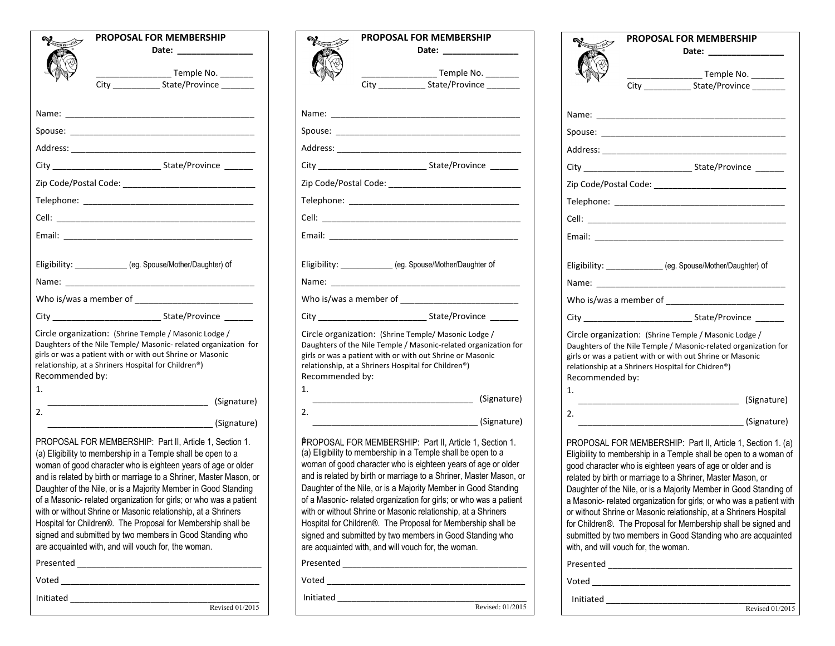| PROPOSAL FOR MEMBERSHIP                                                                                                                                                                                                                                                                                                                                                                                                                                                                                                                                                                                                                                    |                                                                        |
|------------------------------------------------------------------------------------------------------------------------------------------------------------------------------------------------------------------------------------------------------------------------------------------------------------------------------------------------------------------------------------------------------------------------------------------------------------------------------------------------------------------------------------------------------------------------------------------------------------------------------------------------------------|------------------------------------------------------------------------|
|                                                                                                                                                                                                                                                                                                                                                                                                                                                                                                                                                                                                                                                            |                                                                        |
|                                                                                                                                                                                                                                                                                                                                                                                                                                                                                                                                                                                                                                                            |                                                                        |
| City __________________State/Province                                                                                                                                                                                                                                                                                                                                                                                                                                                                                                                                                                                                                      |                                                                        |
|                                                                                                                                                                                                                                                                                                                                                                                                                                                                                                                                                                                                                                                            | Nar                                                                    |
|                                                                                                                                                                                                                                                                                                                                                                                                                                                                                                                                                                                                                                                            | Spo                                                                    |
| Address: Address: Address: Address: Address: Address: Address: Address: Address: Address: Address: A                                                                                                                                                                                                                                                                                                                                                                                                                                                                                                                                                       | Ado                                                                    |
| City State/Province                                                                                                                                                                                                                                                                                                                                                                                                                                                                                                                                                                                                                                        | City                                                                   |
|                                                                                                                                                                                                                                                                                                                                                                                                                                                                                                                                                                                                                                                            | Zip                                                                    |
|                                                                                                                                                                                                                                                                                                                                                                                                                                                                                                                                                                                                                                                            | <b>Tel</b>                                                             |
|                                                                                                                                                                                                                                                                                                                                                                                                                                                                                                                                                                                                                                                            | Cell                                                                   |
|                                                                                                                                                                                                                                                                                                                                                                                                                                                                                                                                                                                                                                                            | Em                                                                     |
| Eligibility: ____________(eg. Spouse/Mother/Daughter) of                                                                                                                                                                                                                                                                                                                                                                                                                                                                                                                                                                                                   | Elig                                                                   |
|                                                                                                                                                                                                                                                                                                                                                                                                                                                                                                                                                                                                                                                            | Nar                                                                    |
|                                                                                                                                                                                                                                                                                                                                                                                                                                                                                                                                                                                                                                                            | Wh                                                                     |
|                                                                                                                                                                                                                                                                                                                                                                                                                                                                                                                                                                                                                                                            | City                                                                   |
| Circle organization: (Shrine Temple / Masonic Lodge /<br>Daughters of the Nile Temple/ Masonic- related organization for<br>girls or was a patient with or with out Shrine or Masonic<br>relationship, at a Shriners Hospital for Children®)<br>Recommended by:                                                                                                                                                                                                                                                                                                                                                                                            | Circ<br>Dau<br>girls<br>rela<br>Rec                                    |
| 1.                                                                                                                                                                                                                                                                                                                                                                                                                                                                                                                                                                                                                                                         | 1.                                                                     |
| 2.<br><b>Maria (Signature)</b> (Signature)                                                                                                                                                                                                                                                                                                                                                                                                                                                                                                                                                                                                                 | 2.                                                                     |
| PROPOSAL FOR MEMBERSHIP: Part II, Article 1, Section 1.<br>(a) Eligibility to membership in a Temple shall be open to a<br>woman of good character who is eighteen years of age or older<br>and is related by birth or marriage to a Shriner, Master Mason, or<br>Daughter of the Nile, or is a Majority Member in Good Standing<br>of a Masonic- related organization for girls; or who was a patient<br>with or without Shrine or Masonic relationship, at a Shriners<br>Hospital for Children®. The Proposal for Membership shall be<br>signed and submitted by two members in Good Standing who<br>are acquainted with, and will vouch for, the woman. | βŖ<br>(a) l<br>won<br>and<br>Dau<br>of a<br>with<br>Hos<br>sigr<br>are |
|                                                                                                                                                                                                                                                                                                                                                                                                                                                                                                                                                                                                                                                            | Pre                                                                    |
|                                                                                                                                                                                                                                                                                                                                                                                                                                                                                                                                                                                                                                                            | Vot                                                                    |
|                                                                                                                                                                                                                                                                                                                                                                                                                                                                                                                                                                                                                                                            | Init                                                                   |
| Revised 01/2015                                                                                                                                                                                                                                                                                                                                                                                                                                                                                                                                                                                                                                            |                                                                        |

|                       | <b>PROPOSAL FOR MEMBERSHIP</b>                                                                                                                                                                                                                                                                                                                                                                                                                                                                                                                                                                                                                                                                                                                                                                                                                                                                                                  |
|-----------------------|---------------------------------------------------------------------------------------------------------------------------------------------------------------------------------------------------------------------------------------------------------------------------------------------------------------------------------------------------------------------------------------------------------------------------------------------------------------------------------------------------------------------------------------------------------------------------------------------------------------------------------------------------------------------------------------------------------------------------------------------------------------------------------------------------------------------------------------------------------------------------------------------------------------------------------|
|                       | Date: _________                                                                                                                                                                                                                                                                                                                                                                                                                                                                                                                                                                                                                                                                                                                                                                                                                                                                                                                 |
|                       | _______________ Temple No. _________                                                                                                                                                                                                                                                                                                                                                                                                                                                                                                                                                                                                                                                                                                                                                                                                                                                                                            |
|                       | City ________________ State/Province ________                                                                                                                                                                                                                                                                                                                                                                                                                                                                                                                                                                                                                                                                                                                                                                                                                                                                                   |
|                       |                                                                                                                                                                                                                                                                                                                                                                                                                                                                                                                                                                                                                                                                                                                                                                                                                                                                                                                                 |
|                       |                                                                                                                                                                                                                                                                                                                                                                                                                                                                                                                                                                                                                                                                                                                                                                                                                                                                                                                                 |
|                       |                                                                                                                                                                                                                                                                                                                                                                                                                                                                                                                                                                                                                                                                                                                                                                                                                                                                                                                                 |
|                       |                                                                                                                                                                                                                                                                                                                                                                                                                                                                                                                                                                                                                                                                                                                                                                                                                                                                                                                                 |
|                       |                                                                                                                                                                                                                                                                                                                                                                                                                                                                                                                                                                                                                                                                                                                                                                                                                                                                                                                                 |
|                       | Zip Code/Postal Code: ________________________________                                                                                                                                                                                                                                                                                                                                                                                                                                                                                                                                                                                                                                                                                                                                                                                                                                                                          |
|                       |                                                                                                                                                                                                                                                                                                                                                                                                                                                                                                                                                                                                                                                                                                                                                                                                                                                                                                                                 |
|                       |                                                                                                                                                                                                                                                                                                                                                                                                                                                                                                                                                                                                                                                                                                                                                                                                                                                                                                                                 |
|                       |                                                                                                                                                                                                                                                                                                                                                                                                                                                                                                                                                                                                                                                                                                                                                                                                                                                                                                                                 |
|                       |                                                                                                                                                                                                                                                                                                                                                                                                                                                                                                                                                                                                                                                                                                                                                                                                                                                                                                                                 |
|                       | Eligibility: _____________ (eg. Spouse/Mother/Daughter of                                                                                                                                                                                                                                                                                                                                                                                                                                                                                                                                                                                                                                                                                                                                                                                                                                                                       |
|                       |                                                                                                                                                                                                                                                                                                                                                                                                                                                                                                                                                                                                                                                                                                                                                                                                                                                                                                                                 |
|                       |                                                                                                                                                                                                                                                                                                                                                                                                                                                                                                                                                                                                                                                                                                                                                                                                                                                                                                                                 |
|                       |                                                                                                                                                                                                                                                                                                                                                                                                                                                                                                                                                                                                                                                                                                                                                                                                                                                                                                                                 |
| Recommended by:<br>1. | Circle organization: (Shrine Temple/ Masonic Lodge /<br>Daughters of the Nile Temple / Masonic-related organization for<br>girls or was a patient with or with out Shrine or Masonic<br>relationship, at a Shriners Hospital for Children <sup>®</sup> )<br>(Signature) (Signature)                                                                                                                                                                                                                                                                                                                                                                                                                                                                                                                                                                                                                                             |
| 2.                    |                                                                                                                                                                                                                                                                                                                                                                                                                                                                                                                                                                                                                                                                                                                                                                                                                                                                                                                                 |
|                       |                                                                                                                                                                                                                                                                                                                                                                                                                                                                                                                                                                                                                                                                                                                                                                                                                                                                                                                                 |
|                       | PROPOSAL FOR MEMBERSHIP: Part II, Article 1, Section 1.<br>(a) Eligibility to membership in a Temple shall be open to a<br>woman of good character who is eighteen years of age or older<br>and is related by birth or marriage to a Shriner, Master Mason, or<br>Daughter of the Nile, or is a Majority Member in Good Standing<br>of a Masonic- related organization for girls; or who was a patient<br>with or without Shrine or Masonic relationship, at a Shriners<br>Hospital for Children®. The Proposal for Membership shall be<br>signed and submitted by two members in Good Standing who<br>are acquainted with, and will vouch for, the woman.<br>Presented <b>Department</b><br><b>Voted Security Security Security Security Security Security Security Security Security Security Security Security Security Security Security Security Security Security Security Security Security Security Security Securi</b> |
| Initiated             |                                                                                                                                                                                                                                                                                                                                                                                                                                                                                                                                                                                                                                                                                                                                                                                                                                                                                                                                 |
|                       | Revised: 01/2015                                                                                                                                                                                                                                                                                                                                                                                                                                                                                                                                                                                                                                                                                                                                                                                                                                                                                                                |

|                       | <b>PROPOSAL FOR MEMBERSHIP</b><br>Date: _______________                                                                                                                                                                                                                                                                                          |
|-----------------------|--------------------------------------------------------------------------------------------------------------------------------------------------------------------------------------------------------------------------------------------------------------------------------------------------------------------------------------------------|
|                       | ______________________Temple No. ___________<br>City ________________ State/Province _________                                                                                                                                                                                                                                                   |
|                       |                                                                                                                                                                                                                                                                                                                                                  |
|                       |                                                                                                                                                                                                                                                                                                                                                  |
|                       |                                                                                                                                                                                                                                                                                                                                                  |
|                       |                                                                                                                                                                                                                                                                                                                                                  |
|                       |                                                                                                                                                                                                                                                                                                                                                  |
|                       |                                                                                                                                                                                                                                                                                                                                                  |
|                       |                                                                                                                                                                                                                                                                                                                                                  |
| Email:                |                                                                                                                                                                                                                                                                                                                                                  |
|                       | Eligibility: _____________ (eg. Spouse/Mother/Daughter) of                                                                                                                                                                                                                                                                                       |
|                       |                                                                                                                                                                                                                                                                                                                                                  |
|                       |                                                                                                                                                                                                                                                                                                                                                  |
| Recommended by:<br>1. | Circle organization: (Shrine Temple / Masonic Lodge /<br>Daughters of the Nile Temple / Masonic-related organization for<br>girls or was a patient with or with out Shrine or Masonic<br>relationship at a Shriners Hospital for Chidren®)                                                                                                       |
| 2.                    | (Signature) (Signature)                                                                                                                                                                                                                                                                                                                          |
|                       | (Signature)                                                                                                                                                                                                                                                                                                                                      |
|                       | PROPOSAL FOR MEMBERSHIP: Part II, Article 1, Section 1. (a)                                                                                                                                                                                                                                                                                      |
|                       | good character who is eighteen years of age or older and is<br>related by birth or marriage to a Shriner, Master Mason, or<br>or without Shrine or Masonic relationship, at a Shriners Hospital<br>with, and will vouch for, the woman.                                                                                                          |
| Presented             | Eligibility to membership in a Temple shall be open to a woman of<br>Daughter of the Nile, or is a Majority Member in Good Standing of<br>a Masonic- related organization for girls; or who was a patient with<br>for Children®. The Proposal for Membership shall be signed and<br>submitted by two members in Good Standing who are acquainted |
| Voted                 |                                                                                                                                                                                                                                                                                                                                                  |